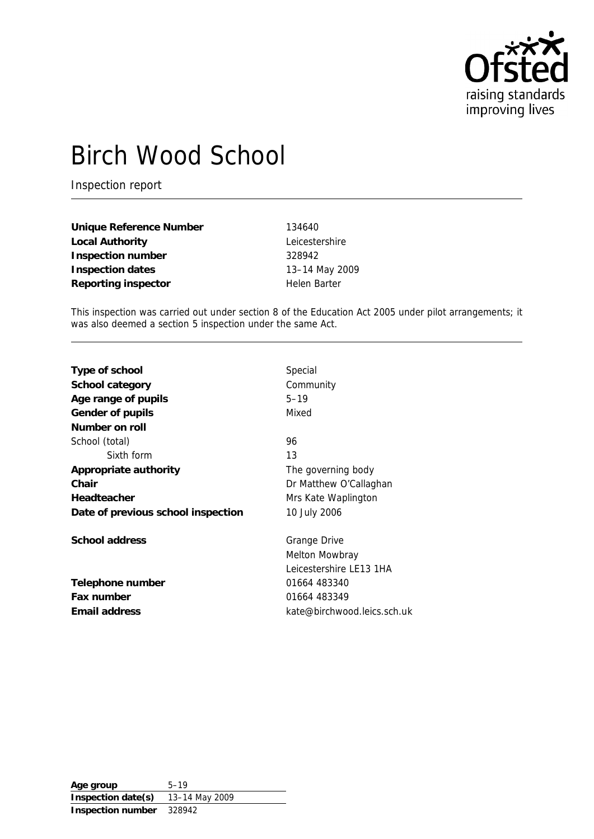

# Birch Wood School

Inspection report

| Unique Reference Number | 134640         |
|-------------------------|----------------|
| Local Authority         | Leicestershire |
| Inspection number       | 328942         |
| Inspection dates        | 13-14 May 2009 |
| Reporting inspector     | Helen Barter   |

This inspection was carried out under section 8 of the Education Act 2005 under pilot arrangements; it was also deemed a section 5 inspection under the same Act.

| Type of school                     | Special                     |
|------------------------------------|-----------------------------|
| School category                    | Community                   |
| Age range of pupils                | $5 - 19$                    |
| Gender of pupils                   | Mixed                       |
| Number on roll                     |                             |
| School (total)                     | 96                          |
| Sixth form                         | 13                          |
| Appropriate authority              | The governing body          |
| Chair                              | Dr Matthew O'Callaghan      |
| Headteacher                        | Mrs Kate Waplington         |
| Date of previous school inspection | 10 July 2006                |
| School address                     | Grange Drive                |
|                                    | Melton Mowbray              |
|                                    | Leicestershire LE13 1HA     |
| Telephone number                   | 01664 483340                |
| Fax number                         | 01664 483349                |
| Email address                      | kate@birchwood.leics.sch.uk |

**Age group** 5–19 **Inspection date(s)** 13–14 May 2009 **Inspection number** 328942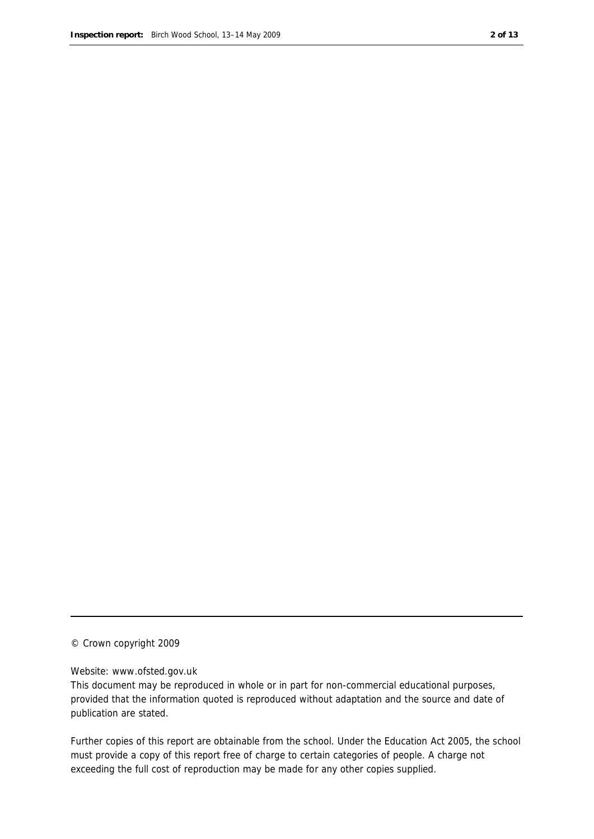#### © Crown copyright 2009

#### Website: www.ofsted.gov.uk

This document may be reproduced in whole or in part for non-commercial educational purposes, provided that the information quoted is reproduced without adaptation and the source and date of publication are stated.

Further copies of this report are obtainable from the school. Under the Education Act 2005, the school must provide a copy of this report free of charge to certain categories of people. A charge not exceeding the full cost of reproduction may be made for any other copies supplied.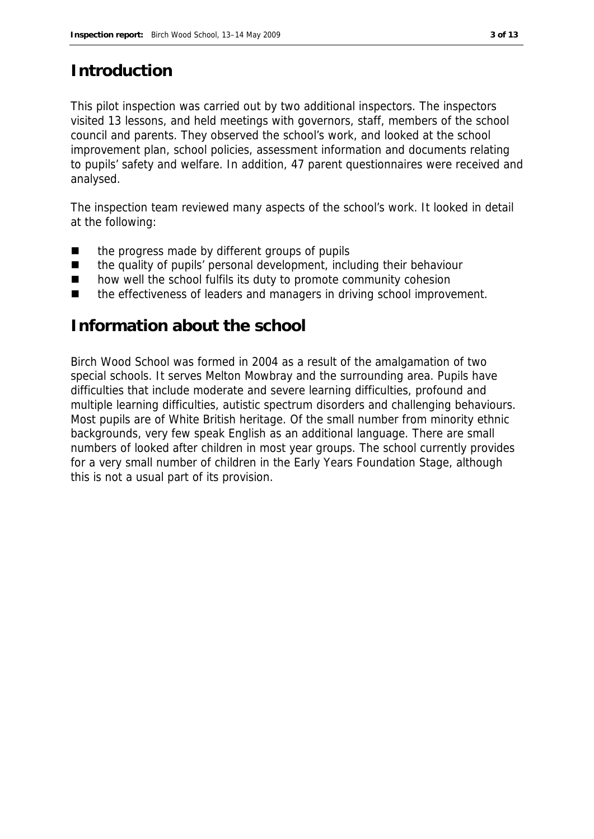## **Introduction**

This pilot inspection was carried out by two additional inspectors. The inspectors visited 13 lessons, and held meetings with governors, staff, members of the school council and parents. They observed the school's work, and looked at the school improvement plan, school policies, assessment information and documents relating to pupils' safety and welfare. In addition, 47 parent questionnaires were received and analysed.

The inspection team reviewed many aspects of the school's work. It looked in detail at the following:

- the progress made by different groups of pupils
- the quality of pupils' personal development, including their behaviour
- how well the school fulfils its duty to promote community cohesion
- the effectiveness of leaders and managers in driving school improvement.

#### **Information about the school**

Birch Wood School was formed in 2004 as a result of the amalgamation of two special schools. It serves Melton Mowbray and the surrounding area. Pupils have difficulties that include moderate and severe learning difficulties, profound and multiple learning difficulties, autistic spectrum disorders and challenging behaviours. Most pupils are of White British heritage. Of the small number from minority ethnic backgrounds, very few speak English as an additional language. There are small numbers of looked after children in most year groups. The school currently provides for a very small number of children in the Early Years Foundation Stage, although this is not a usual part of its provision.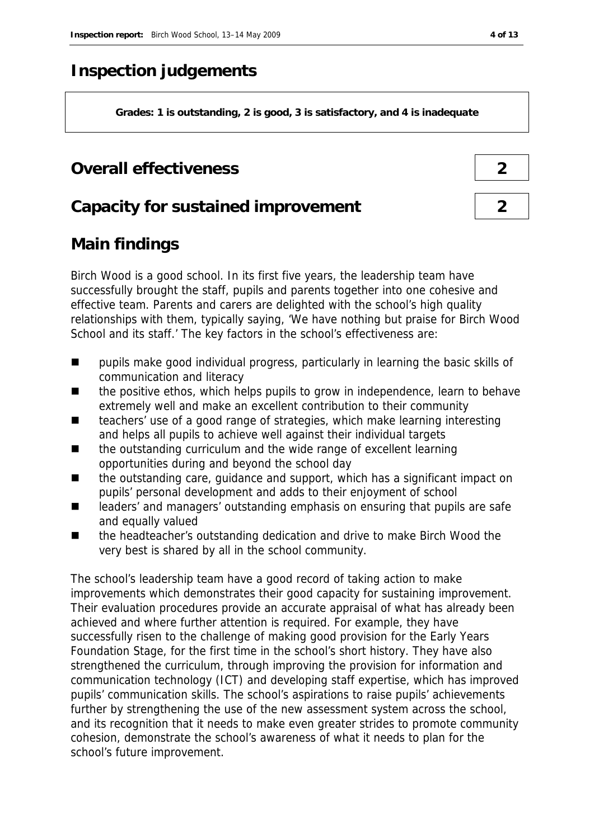# **Inspection judgements**

**Grades: 1 is outstanding, 2 is good, 3 is satisfactory, and 4 is inadequate**

### **Overall effectiveness 2**

### **Capacity for sustained improvement 2**

# **Main findings**

Birch Wood is a good school. In its first five years, the leadership team have successfully brought the staff, pupils and parents together into one cohesive and effective team. Parents and carers are delighted with the school's high quality relationships with them, typically saying, 'We have nothing but praise for Birch Wood School and its staff.' The key factors in the school's effectiveness are:

- **Paragely** pupils make good individual progress, particularly in learning the basic skills of communication and literacy
- the positive ethos, which helps pupils to grow in independence, learn to behave extremely well and make an excellent contribution to their community
- teachers' use of a good range of strategies, which make learning interesting and helps all pupils to achieve well against their individual targets
- the outstanding curriculum and the wide range of excellent learning opportunities during and beyond the school day
- the outstanding care, guidance and support, which has a significant impact on pupils' personal development and adds to their enjoyment of school
- leaders' and managers' outstanding emphasis on ensuring that pupils are safe and equally valued
- the headteacher's outstanding dedication and drive to make Birch Wood the very best is shared by all in the school community.

The school's leadership team have a good record of taking action to make improvements which demonstrates their good capacity for sustaining improvement. Their evaluation procedures provide an accurate appraisal of what has already been achieved and where further attention is required. For example, they have successfully risen to the challenge of making good provision for the Early Years Foundation Stage, for the first time in the school's short history. They have also strengthened the curriculum, through improving the provision for information and communication technology (ICT) and developing staff expertise, which has improved pupils' communication skills. The school's aspirations to raise pupils' achievements further by strengthening the use of the new assessment system across the school, and its recognition that it needs to make even greater strides to promote community cohesion, demonstrate the school's awareness of what it needs to plan for the school's future improvement.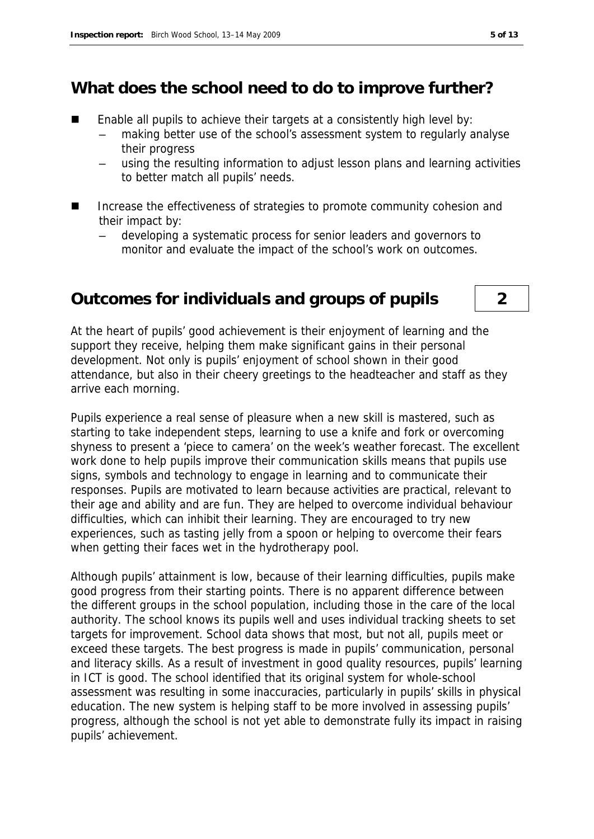### **What does the school need to do to improve further?**

- Enable all pupils to achieve their targets at a consistently high level by:
	- making better use of the school's assessment system to regularly analyse their progress
	- using the resulting information to adjust lesson plans and learning activities to better match all pupils' needs.
- Increase the effectiveness of strategies to promote community cohesion and their impact by:
	- developing a systematic process for senior leaders and governors to monitor and evaluate the impact of the school's work on outcomes.

#### **Outcomes for individuals and groups of pupils 2**

At the heart of pupils' good achievement is their enjoyment of learning and the support they receive, helping them make significant gains in their personal development. Not only is pupils' enjoyment of school shown in their good attendance, but also in their cheery greetings to the headteacher and staff as they arrive each morning.

Pupils experience a real sense of pleasure when a new skill is mastered, such as starting to take independent steps, learning to use a knife and fork or overcoming shyness to present a 'piece to camera' on the week's weather forecast. The excellent work done to help pupils improve their communication skills means that pupils use signs, symbols and technology to engage in learning and to communicate their responses. Pupils are motivated to learn because activities are practical, relevant to their age and ability and are fun. They are helped to overcome individual behaviour difficulties, which can inhibit their learning. They are encouraged to try new experiences, such as tasting jelly from a spoon or helping to overcome their fears when getting their faces wet in the hydrotherapy pool.

Although pupils' attainment is low, because of their learning difficulties, pupils make good progress from their starting points. There is no apparent difference between the different groups in the school population, including those in the care of the local authority. The school knows its pupils well and uses individual tracking sheets to set targets for improvement. School data shows that most, but not all, pupils meet or exceed these targets. The best progress is made in pupils' communication, personal and literacy skills. As a result of investment in good quality resources, pupils' learning in ICT is good. The school identified that its original system for whole-school assessment was resulting in some inaccuracies, particularly in pupils' skills in physical education. The new system is helping staff to be more involved in assessing pupils' progress, although the school is not yet able to demonstrate fully its impact in raising pupils' achievement.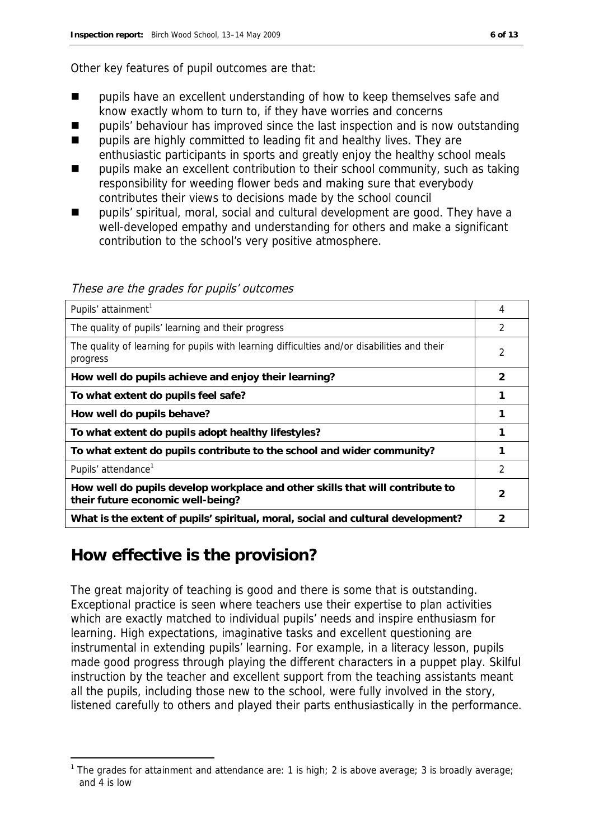Other key features of pupil outcomes are that:

- $\blacksquare$  pupils have an excellent understanding of how to keep themselves safe and know exactly whom to turn to, if they have worries and concerns
- pupils' behaviour has improved since the last inspection and is now outstanding
- pupils are highly committed to leading fit and healthy lives. They are enthusiastic participants in sports and greatly enjoy the healthy school meals
- pupils make an excellent contribution to their school community, such as taking responsibility for weeding flower beds and making sure that everybody contributes their views to decisions made by the school council
- pupils' spiritual, moral, social and cultural development are good. They have a well-developed empathy and understanding for others and make a significant contribution to the school's very positive atmosphere.

These are the grades for pupils' outcomes

| Pupils' attainment <sup>1</sup>                                                                                    | 4             |
|--------------------------------------------------------------------------------------------------------------------|---------------|
| The quality of pupils' learning and their progress                                                                 | $\mathcal{P}$ |
| The quality of learning for pupils with learning difficulties and/or disabilities and their<br>progress            | 2             |
| How well do pupils achieve and enjoy their learning?                                                               | 2             |
| To what extent do pupils feel safe?                                                                                |               |
| How well do pupils behave?                                                                                         |               |
| To what extent do pupils adopt healthy lifestyles?                                                                 |               |
| To what extent do pupils contribute to the school and wider community?                                             |               |
| Pupils' attendance <sup>1</sup>                                                                                    | 2             |
| How well do pupils develop workplace and other skills that will contribute to<br>their future economic well-being? | 2             |
| What is the extent of pupils' spiritual, moral, social and cultural development?                                   | 2             |

#### **How effective is the provision?**

-

The great majority of teaching is good and there is some that is outstanding. Exceptional practice is seen where teachers use their expertise to plan activities which are exactly matched to individual pupils' needs and inspire enthusiasm for learning. High expectations, imaginative tasks and excellent questioning are instrumental in extending pupils' learning. For example, in a literacy lesson, pupils made good progress through playing the different characters in a puppet play. Skilful instruction by the teacher and excellent support from the teaching assistants meant all the pupils, including those new to the school, were fully involved in the story, listened carefully to others and played their parts enthusiastically in the performance.

<sup>&</sup>lt;sup>1</sup> The grades for attainment and attendance are: 1 is high; 2 is above average; 3 is broadly average; and 4 is low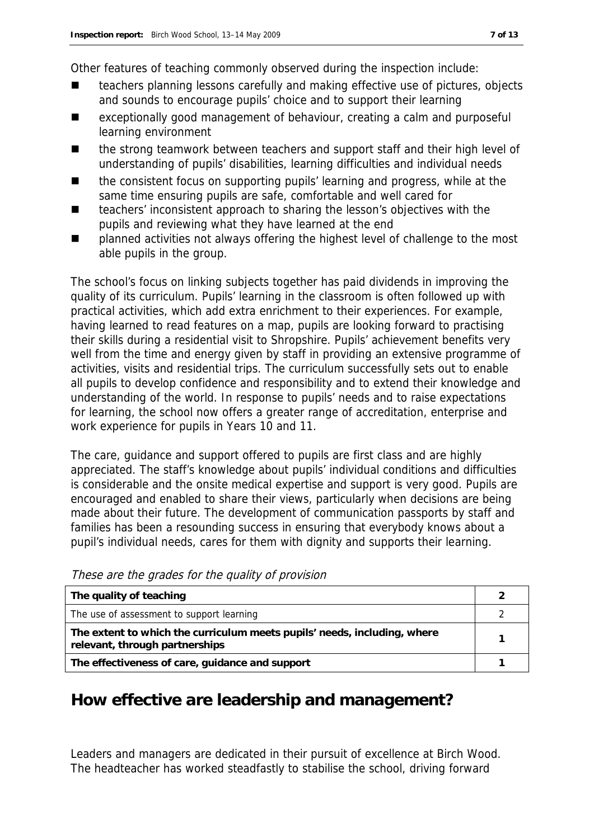Other features of teaching commonly observed during the inspection include:

- teachers planning lessons carefully and making effective use of pictures, objects and sounds to encourage pupils' choice and to support their learning
- exceptionally good management of behaviour, creating a calm and purposeful learning environment
- the strong teamwork between teachers and support staff and their high level of understanding of pupils' disabilities, learning difficulties and individual needs
- the consistent focus on supporting pupils' learning and progress, while at the same time ensuring pupils are safe, comfortable and well cared for
- teachers' inconsistent approach to sharing the lesson's objectives with the pupils and reviewing what they have learned at the end
- planned activities not always offering the highest level of challenge to the most able pupils in the group.

The school's focus on linking subjects together has paid dividends in improving the quality of its curriculum. Pupils' learning in the classroom is often followed up with practical activities, which add extra enrichment to their experiences. For example, having learned to read features on a map, pupils are looking forward to practising their skills during a residential visit to Shropshire. Pupils' achievement benefits very well from the time and energy given by staff in providing an extensive programme of activities, visits and residential trips. The curriculum successfully sets out to enable all pupils to develop confidence and responsibility and to extend their knowledge and understanding of the world. In response to pupils' needs and to raise expectations for learning, the school now offers a greater range of accreditation, enterprise and work experience for pupils in Years 10 and 11.

The care, guidance and support offered to pupils are first class and are highly appreciated. The staff's knowledge about pupils' individual conditions and difficulties is considerable and the onsite medical expertise and support is very good. Pupils are encouraged and enabled to share their views, particularly when decisions are being made about their future. The development of communication passports by staff and families has been a resounding success in ensuring that everybody knows about a pupil's individual needs, cares for them with dignity and supports their learning.

| The quality of teaching                                                                                    |  |
|------------------------------------------------------------------------------------------------------------|--|
| The use of assessment to support learning                                                                  |  |
| The extent to which the curriculum meets pupils' needs, including, where<br>relevant, through partnerships |  |
| The effectiveness of care, guidance and support                                                            |  |

These are the grades for the quality of provision

#### **How effective are leadership and management?**

Leaders and managers are dedicated in their pursuit of excellence at Birch Wood. The headteacher has worked steadfastly to stabilise the school, driving forward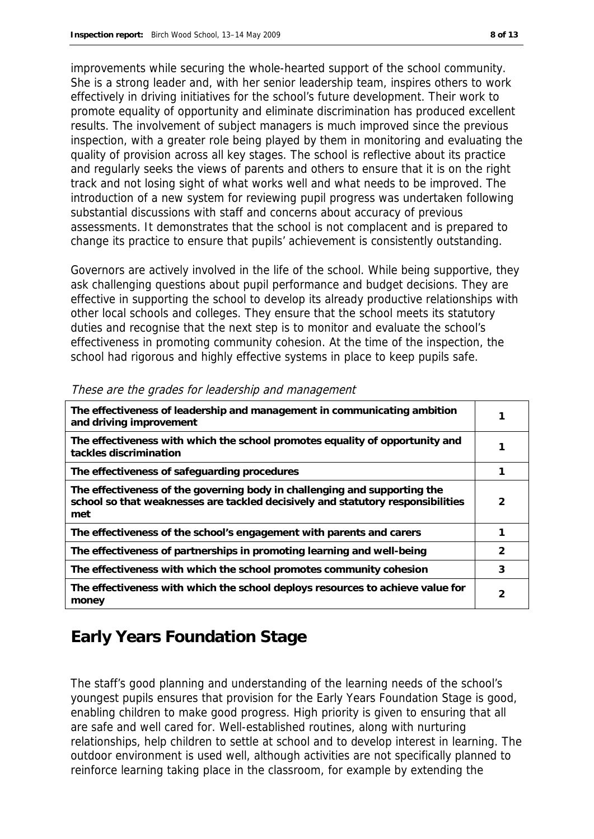improvements while securing the whole-hearted support of the school community. She is a strong leader and, with her senior leadership team, inspires others to work effectively in driving initiatives for the school's future development. Their work to promote equality of opportunity and eliminate discrimination has produced excellent results. The involvement of subject managers is much improved since the previous inspection, with a greater role being played by them in monitoring and evaluating the quality of provision across all key stages. The school is reflective about its practice and regularly seeks the views of parents and others to ensure that it is on the right track and not losing sight of what works well and what needs to be improved. The introduction of a new system for reviewing pupil progress was undertaken following substantial discussions with staff and concerns about accuracy of previous assessments. It demonstrates that the school is not complacent and is prepared to change its practice to ensure that pupils' achievement is consistently outstanding.

Governors are actively involved in the life of the school. While being supportive, they ask challenging questions about pupil performance and budget decisions. They are effective in supporting the school to develop its already productive relationships with other local schools and colleges. They ensure that the school meets its statutory duties and recognise that the next step is to monitor and evaluate the school's effectiveness in promoting community cohesion. At the time of the inspection, the school had rigorous and highly effective systems in place to keep pupils safe.

| The effectiveness of leadership and management in communicating ambition<br>and driving improvement                                                                 |               |
|---------------------------------------------------------------------------------------------------------------------------------------------------------------------|---------------|
| The effectiveness with which the school promotes equality of opportunity and<br>tackles discrimination                                                              |               |
| The effectiveness of safeguarding procedures                                                                                                                        |               |
| The effectiveness of the governing body in challenging and supporting the<br>school so that weaknesses are tackled decisively and statutory responsibilities<br>met | 2             |
| The effectiveness of the school's engagement with parents and carers                                                                                                |               |
| The effectiveness of partnerships in promoting learning and well-being                                                                                              | $\mathcal{P}$ |
| The effectiveness with which the school promotes community cohesion                                                                                                 | 3             |
| The effectiveness with which the school deploys resources to achieve value for<br>money                                                                             |               |

#### These are the grades for leadership and management

# **Early Years Foundation Stage**

The staff's good planning and understanding of the learning needs of the school's youngest pupils ensures that provision for the Early Years Foundation Stage is good, enabling children to make good progress. High priority is given to ensuring that all are safe and well cared for. Well-established routines, along with nurturing relationships, help children to settle at school and to develop interest in learning. The outdoor environment is used well, although activities are not specifically planned to reinforce learning taking place in the classroom, for example by extending the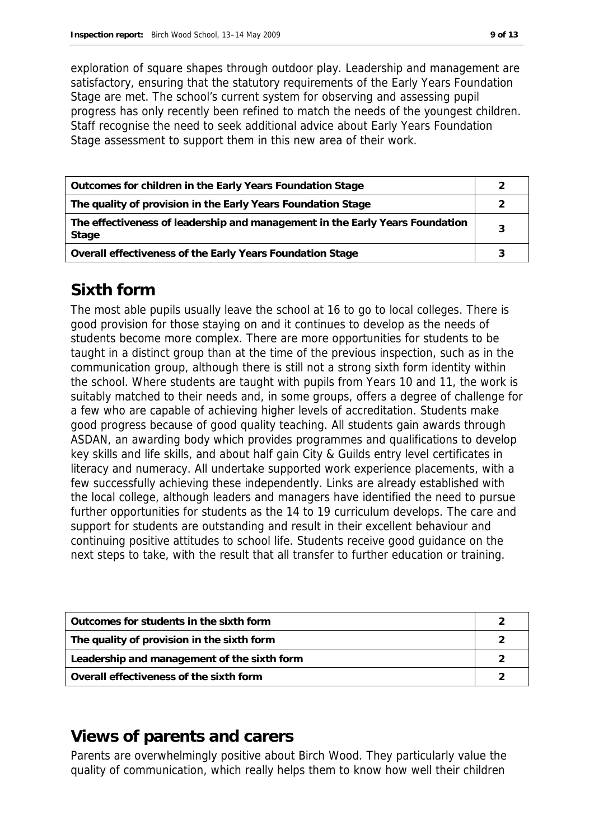exploration of square shapes through outdoor play. Leadership and management are satisfactory, ensuring that the statutory requirements of the Early Years Foundation Stage are met. The school's current system for observing and assessing pupil progress has only recently been refined to match the needs of the youngest children. Staff recognise the need to seek additional advice about Early Years Foundation Stage assessment to support them in this new area of their work.

| Outcomes for children in the Early Years Foundation Stage                             |  |
|---------------------------------------------------------------------------------------|--|
| The quality of provision in the Early Years Foundation Stage                          |  |
| The effectiveness of leadership and management in the Early Years Foundation<br>Stage |  |
| Overall effectiveness of the Early Years Foundation Stage                             |  |

# **Sixth form**

The most able pupils usually leave the school at 16 to go to local colleges. There is good provision for those staying on and it continues to develop as the needs of students become more complex. There are more opportunities for students to be taught in a distinct group than at the time of the previous inspection, such as in the communication group, although there is still not a strong sixth form identity within the school. Where students are taught with pupils from Years 10 and 11, the work is suitably matched to their needs and, in some groups, offers a degree of challenge for a few who are capable of achieving higher levels of accreditation. Students make good progress because of good quality teaching. All students gain awards through ASDAN, an awarding body which provides programmes and qualifications to develop key skills and life skills, and about half gain City & Guilds entry level certificates in literacy and numeracy. All undertake supported work experience placements, with a few successfully achieving these independently. Links are already established with the local college, although leaders and managers have identified the need to pursue further opportunities for students as the 14 to 19 curriculum develops. The care and support for students are outstanding and result in their excellent behaviour and continuing positive attitudes to school life. Students receive good guidance on the next steps to take, with the result that all transfer to further education or training.

| Outcomes for students in the sixth form     |  |
|---------------------------------------------|--|
| The quality of provision in the sixth form  |  |
| Leadership and management of the sixth form |  |
| Overall effectiveness of the sixth form     |  |

### **Views of parents and carers**

Parents are overwhelmingly positive about Birch Wood. They particularly value the quality of communication, which really helps them to know how well their children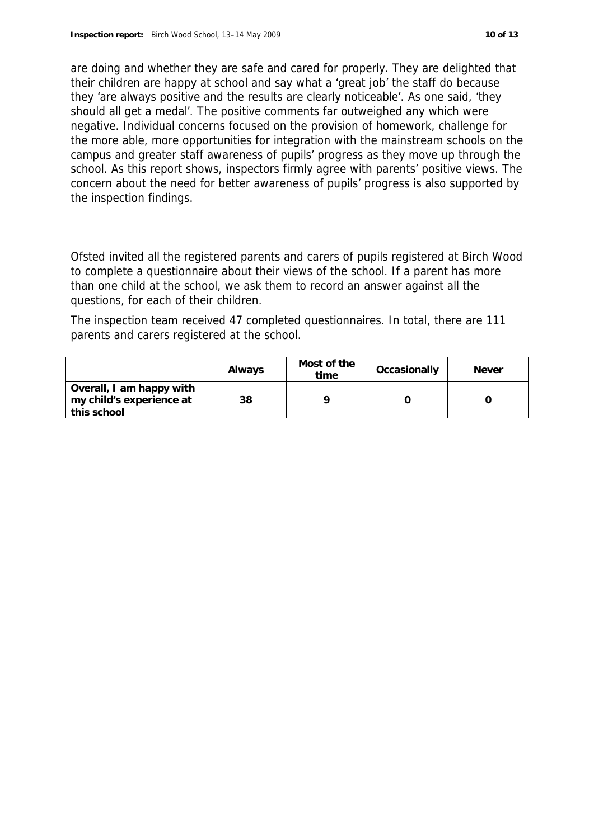are doing and whether they are safe and cared for properly. They are delighted that their children are happy at school and say what a 'great job' the staff do because they 'are always positive and the results are clearly noticeable'. As one said, 'they should all get a medal'. The positive comments far outweighed any which were negative. Individual concerns focused on the provision of homework, challenge for the more able, more opportunities for integration with the mainstream schools on the campus and greater staff awareness of pupils' progress as they move up through the school. As this report shows, inspectors firmly agree with parents' positive views. The concern about the need for better awareness of pupils' progress is also supported by the inspection findings.

Ofsted invited all the registered parents and carers of pupils registered at Birch Wood to complete a questionnaire about their views of the school. If a parent has more than one child at the school, we ask them to record an answer against all the questions, for each of their children.

The inspection team received 47 completed questionnaires. In total, there are 111 parents and carers registered at the school.

|                                                                     | Always | Most of the<br>time | Occasionally | <b>Never</b> |
|---------------------------------------------------------------------|--------|---------------------|--------------|--------------|
| Overall, I am happy with<br>my child's experience at<br>this school | 38     |                     |              |              |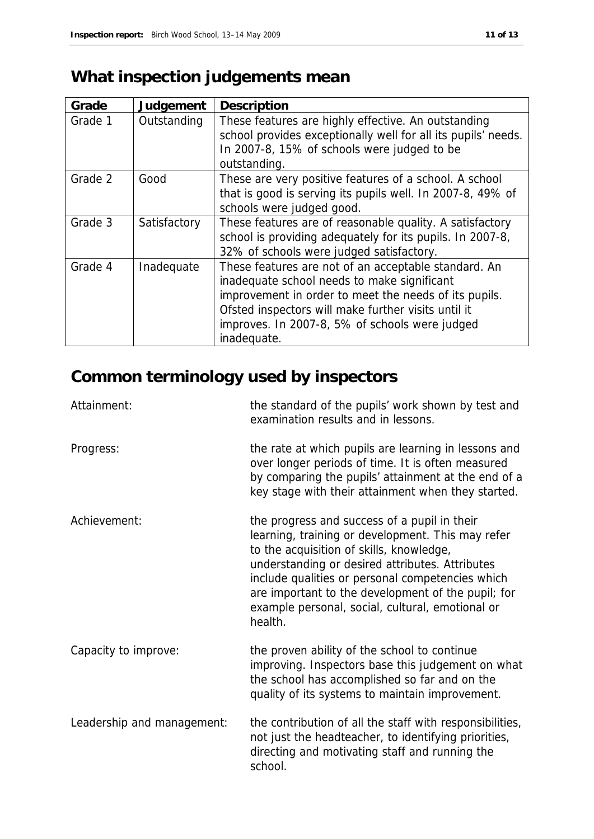# **What inspection judgements mean**

| Grade   | Judgement    | Description                                                                                                                                                                                                                                                                          |
|---------|--------------|--------------------------------------------------------------------------------------------------------------------------------------------------------------------------------------------------------------------------------------------------------------------------------------|
| Grade 1 | Outstanding  | These features are highly effective. An outstanding<br>school provides exceptionally well for all its pupils' needs.<br>In 2007-8, 15% of schools were judged to be<br>outstanding.                                                                                                  |
| Grade 2 | Good         | These are very positive features of a school. A school<br>that is good is serving its pupils well. In 2007-8, 49% of<br>schools were judged good.                                                                                                                                    |
| Grade 3 | Satisfactory | These features are of reasonable quality. A satisfactory<br>school is providing adequately for its pupils. In 2007-8,<br>32% of schools were judged satisfactory.                                                                                                                    |
| Grade 4 | Inadequate   | These features are not of an acceptable standard. An<br>inadequate school needs to make significant<br>improvement in order to meet the needs of its pupils.<br>Ofsted inspectors will make further visits until it<br>improves. In 2007-8, 5% of schools were judged<br>inadequate. |

# **Common terminology used by inspectors**

| Attainment:                | the standard of the pupils' work shown by test and<br>examination results and in lessons.                                                                                                                                                                                                                                                                                 |
|----------------------------|---------------------------------------------------------------------------------------------------------------------------------------------------------------------------------------------------------------------------------------------------------------------------------------------------------------------------------------------------------------------------|
| Progress:                  | the rate at which pupils are learning in lessons and<br>over longer periods of time. It is often measured<br>by comparing the pupils' attainment at the end of a<br>key stage with their attainment when they started.                                                                                                                                                    |
| Achievement:               | the progress and success of a pupil in their<br>learning, training or development. This may refer<br>to the acquisition of skills, knowledge,<br>understanding or desired attributes. Attributes<br>include qualities or personal competencies which<br>are important to the development of the pupil; for<br>example personal, social, cultural, emotional or<br>health. |
| Capacity to improve:       | the proven ability of the school to continue<br>improving. Inspectors base this judgement on what<br>the school has accomplished so far and on the<br>quality of its systems to maintain improvement.                                                                                                                                                                     |
| Leadership and management: | the contribution of all the staff with responsibilities,<br>not just the headteacher, to identifying priorities,<br>directing and motivating staff and running the<br>school.                                                                                                                                                                                             |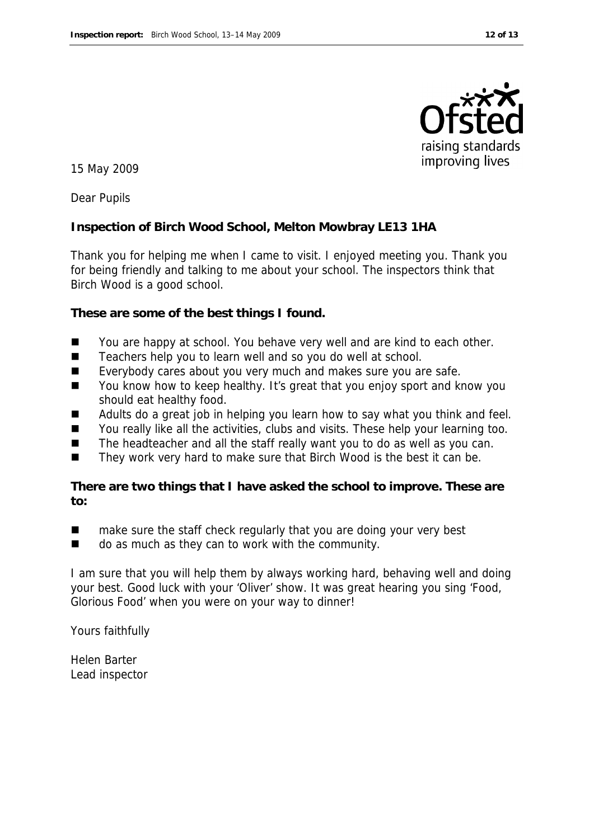

15 May 2009

Dear Pupils

**Inspection of Birch Wood School, Melton Mowbray LE13 1HA**

Thank you for helping me when I came to visit. I enjoyed meeting you. Thank you for being friendly and talking to me about your school. The inspectors think that Birch Wood is a good school.

**These are some of the best things I found.**

- You are happy at school. You behave very well and are kind to each other.
- Teachers help you to learn well and so you do well at school.
- Everybody cares about you very much and makes sure you are safe.
- You know how to keep healthy. It's great that you enjoy sport and know you should eat healthy food.
- Adults do a great job in helping you learn how to say what you think and feel.
- You really like all the activities, clubs and visits. These help your learning too.
- $\blacksquare$  The headteacher and all the staff really want you to do as well as you can.
- They work very hard to make sure that Birch Wood is the best it can be.

**There are two things that I have asked the school to improve. These are to:** 

- make sure the staff check regularly that you are doing your very best
- do as much as they can to work with the community.

I am sure that you will help them by always working hard, behaving well and doing your best. Good luck with your 'Oliver' show. It was great hearing you sing 'Food, Glorious Food' when you were on your way to dinner!

Yours faithfully

Helen Barter Lead inspector